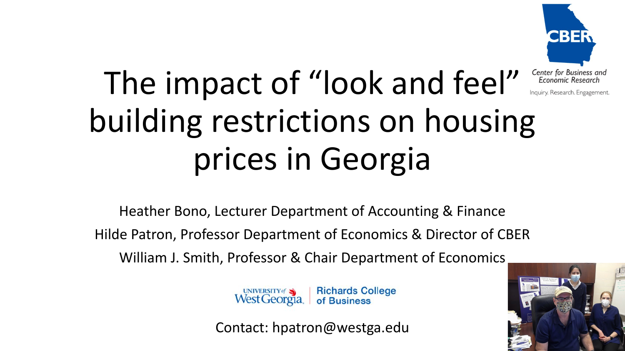

# The impact of "look and feel" Economic Research building restrictions on housing prices in Georgia

Heather Bono, Lecturer Department of Accounting & Finance Hilde Patron, Professor Department of Economics & Director of CBER William J. Smith, Professor & Chair Department of Economics

> **Richards College** UNIVERSITY of West Georgia. of Business

Contact: hpatron@westga.edu

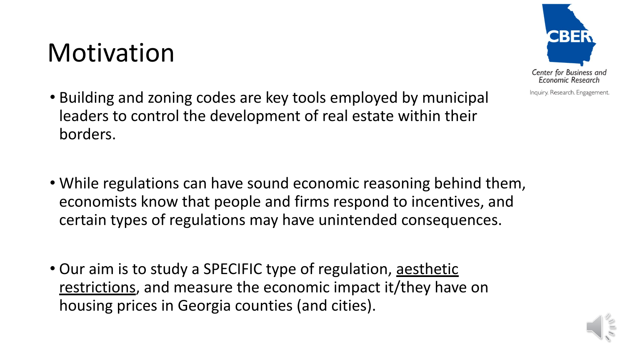### Motivation



- Building and zoning codes are key tools employed by municipal leaders to control the development of real estate within their borders.
- While regulations can have sound economic reasoning behind them, economists know that people and firms respond to incentives, and certain types of regulations may have unintended consequences.
- Our aim is to study a SPECIFIC type of regulation, aesthetic restrictions, and measure the economic impact it/they have on housing prices in Georgia counties (and cities).

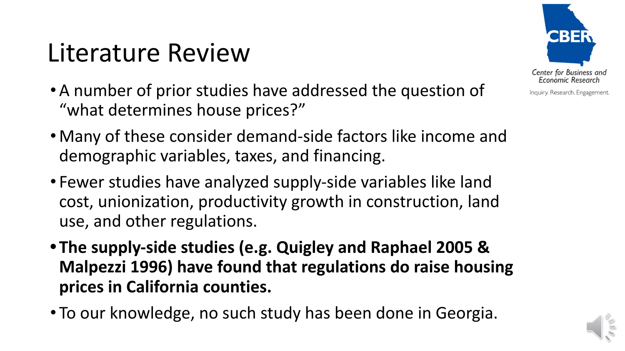## Literature Review

- •A number of prior studies have addressed the question of "what determines house prices?"
- Many of these consider demand-side factors like income and demographic variables, taxes, and financing.
- Fewer studies have analyzed supply-side variables like land cost, unionization, productivity growth in construction, land use, and other regulations.
- **• The supply-side studies (e.g. Quigley and Raphael 2005 & Malpezzi 1996) have found that regulations do raise housing prices in California counties.**
- To our knowledge, no such study has been done in Georgia.

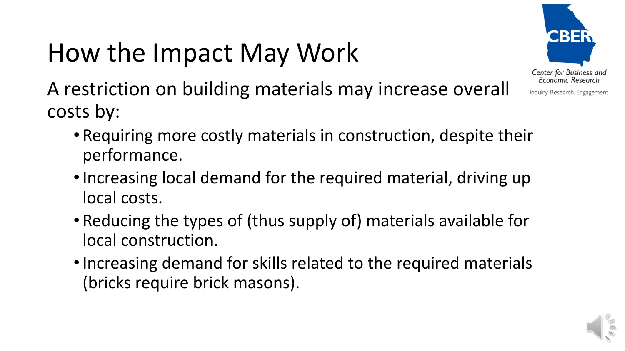# How the Impact May Work



A restriction on building materials may increase overall costs by:

- Requiring more costly materials in construction, despite their performance.
- Increasing local demand for the required material, driving up local costs.
- Reducing the types of (thus supply of) materials available for local construction.
- •Increasing demand for skills related to the required materials (bricks require brick masons).

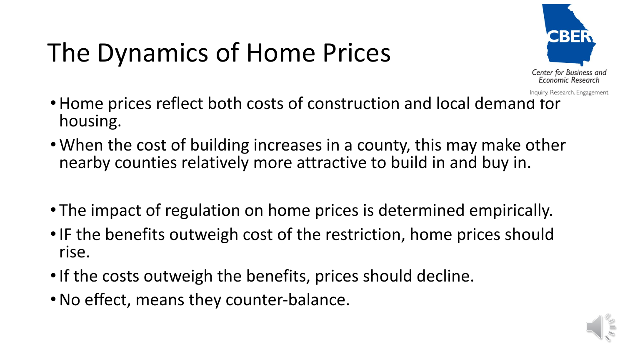# The Dynamics of Home Prices



- Inquiry. Research. Engagement.
- •Home prices reflect both costs of construction and local demand for housing.
- •When the cost of building increases in a county, this may make other nearby counties relatively more attractive to build in and buy in.
- The impact of regulation on home prices is determined empirically.
- IF the benefits outweigh cost of the restriction, home prices should rise.
- If the costs outweigh the benefits, prices should decline.
- •No effect, means they counter-balance.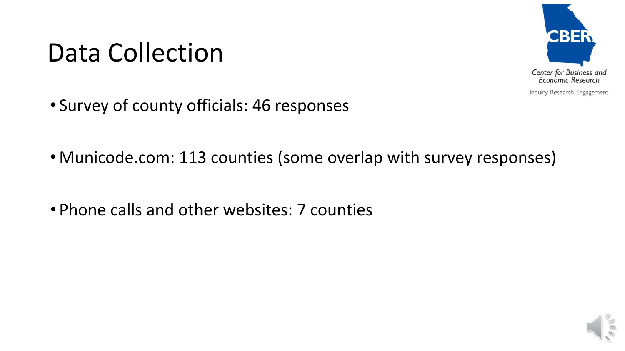# Data Collection



Inquiry. Research. Engagement.

- Survey of county officials: 46 responses
- Municode.com: 113 counties (some overlap with survey responses)
- Phone calls and other websites: 7 counties

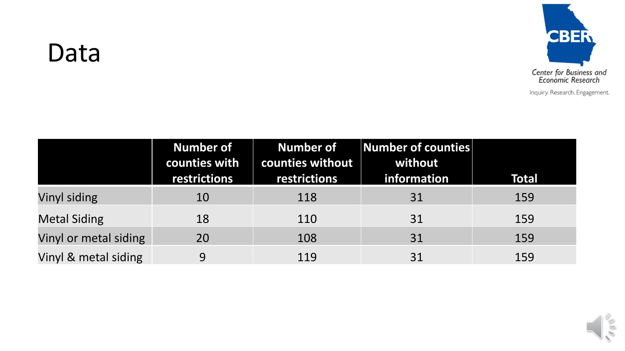

#### Data

|                       | <b>Number of</b><br>counties with | Number of<br>counties without | $\ $ Number of counties $\ $<br>without |              |
|-----------------------|-----------------------------------|-------------------------------|-----------------------------------------|--------------|
|                       | restrictions                      | restrictions                  | information                             | <b>Total</b> |
| Vinyl siding          | 10                                | 118                           | 31                                      | 159          |
| <b>Metal Siding</b>   | 18                                | 110                           | 31                                      | 159          |
| Vinyl or metal siding | <b>20</b>                         | 108                           | 31                                      | 159          |
| Vinyl & metal siding  | 9                                 | 119                           | 31                                      | 159          |

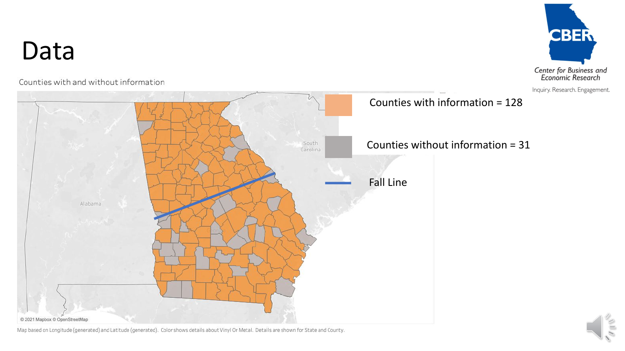

Counties with and without information





Map based on Longitude (generated) and Latitude (generated). Color shows details about Vinyl Or Metal. Details are shown for State and County.

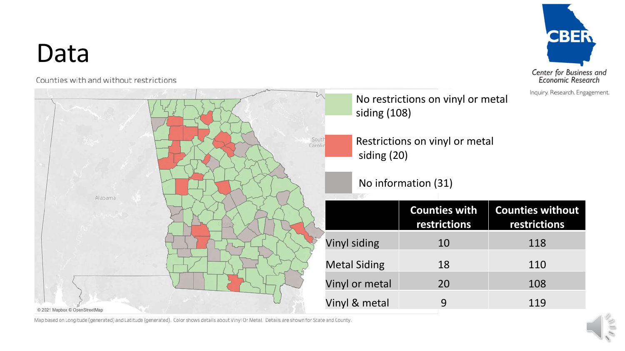#### Data

Counties with and without restrictions



Map based on Longitude (generated) and Latitude (generated). Color shows details about Vinyl Or Metal. Details are shown for State and County.

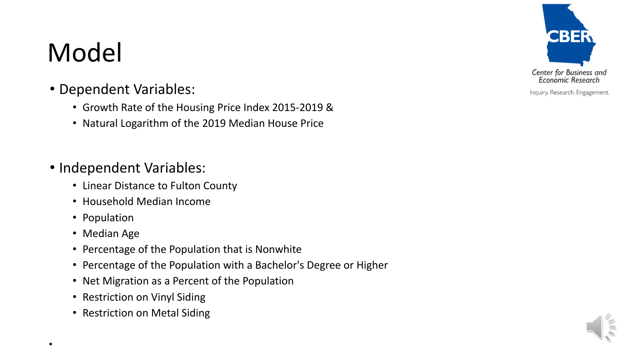# Model

- Dependent Variables:
	- Growth Rate of the Housing Price Index 2015-2019 &
	- Natural Logarithm of the 2019 Median House Price

#### • Independent Variables:

- Linear Distance to Fulton County
- Household Median Income
- Population
- Median Age

•

- Percentage of the Population that is Nonwhite
- Percentage of the Population with a Bachelor's Degree or Higher
- Net Migration as a Percent of the Population
- Restriction on Vinyl Siding
- Restriction on Metal Siding



Inquiry. Research. Engagement.

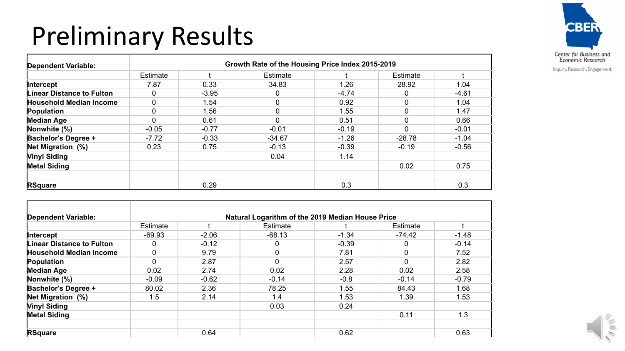# Preliminary Results



| <b>Dependent Variable:</b>       | Growth Rate of the Housing Price Index 2015-2019 |         |          |         |                 |         |  |
|----------------------------------|--------------------------------------------------|---------|----------|---------|-----------------|---------|--|
|                                  | Estimate                                         |         | Estimate |         | <b>Estimate</b> |         |  |
| <b>Intercept</b>                 | 7.87                                             | 0.33    | 34.83    | 1.26    | 28.92           | 1.04    |  |
| <b>Linear Distance to Fulton</b> | 0                                                | $-3.95$ |          | $-4.74$ | 0               | $-4.61$ |  |
| <b>Household Median Income</b>   | $\Omega$                                         | 1.54    |          | 0.92    | $\Omega$        | 1.04    |  |
| Population                       | $\Omega$                                         | 1.56    |          | 1.55    | 0               | 1.47    |  |
| <b>Median Age</b>                | ∩                                                | 0.61    |          | 0.51    | 0               | 0.66    |  |
| Nonwhite (%)                     | $-0.05$                                          | $-0.77$ | $-0.01$  | $-0.19$ | $\Omega$        | $-0.01$ |  |
| <b>Bachelor's Degree +</b>       | $-7.72$                                          | $-0.33$ | $-34.67$ | $-1.26$ | $-28.78$        | $-1.04$ |  |
| Net Migration (%)                | 0.23                                             | 0.75    | $-0.13$  | $-0.39$ | $-0.19$         | $-0.56$ |  |
| <b>Vinyl Siding</b>              |                                                  |         | 0.04     | 1.14    |                 |         |  |
| <b>Metal Siding</b>              |                                                  |         |          |         | 0.02            | 0.75    |  |
| <b>RSquare</b>                   |                                                  | 0.29    |          | 0.3     |                 | 0.3     |  |

| Dependent Variable:              | Natural Logarithm of the 2019 Median House Price |         |             |         |          |         |  |
|----------------------------------|--------------------------------------------------|---------|-------------|---------|----------|---------|--|
|                                  | Estimate                                         |         | Estimate    |         | Estimate |         |  |
| <b>Intercept</b>                 | $-69.93$                                         | $-2.06$ | $-68.13$    | $-1.34$ | $-74.42$ | $-1.48$ |  |
| <b>Linear Distance to Fulton</b> | 0                                                | $-0.12$ | 0           | $-0.39$ |          | $-0.14$ |  |
| <b>Household Median Income</b>   | $\mathbf 0$                                      | 9.79    | $\mathbf 0$ | 7.81    | $\Omega$ | 7.52    |  |
| Population                       | $\mathbf 0$                                      | 2.87    | $\mathbf 0$ | 2.57    | ∩        | 2.82    |  |
| <b>Median Age</b>                | 0.02                                             | 2.74    | 0.02        | 2.28    | 0.02     | 2.58    |  |
| Nonwhite (%)                     | $-0.09$                                          | $-0.62$ | $-0.14$     | $-0.8$  | $-0.14$  | $-0.79$ |  |
| <b>Bachelor's Degree +</b>       | 80.02                                            | 2.36    | 78.25       | 1.55    | 84.43    | 1.68    |  |
| Net Migration (%)                | 1.5                                              | 2.14    | 1.4         | 1.53    | 1.39     | 1.53    |  |
| <b>Vinyl Siding</b>              |                                                  |         | 0.03        | 0.24    |          |         |  |
| <b>Metal Siding</b>              |                                                  |         |             |         | 0.11     | 1.3     |  |
| <b>RSquare</b>                   |                                                  | 0.64    |             | 0.62    |          | 0.63    |  |

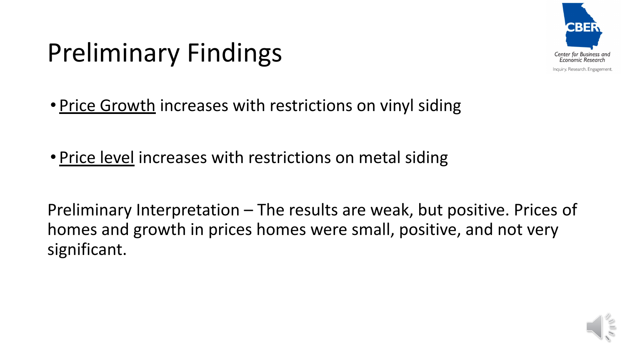

# Preliminary Findings

- Price Growth increases with restrictions on vinyl siding
- Price level increases with restrictions on metal siding

Preliminary Interpretation – The results are weak, but positive. Prices of homes and growth in prices homes were small, positive, and not very significant.

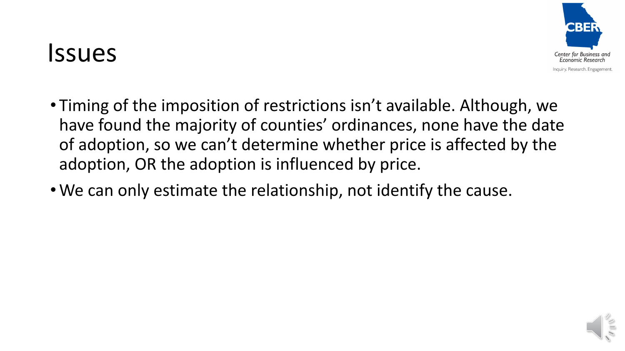#### Issues



- Timing of the imposition of restrictions isn't available. Although, we have found the majority of counties' ordinances, none have the date of adoption, so we can't determine whether price is affected by the adoption, OR the adoption is influenced by price.
- •We can only estimate the relationship, not identify the cause.

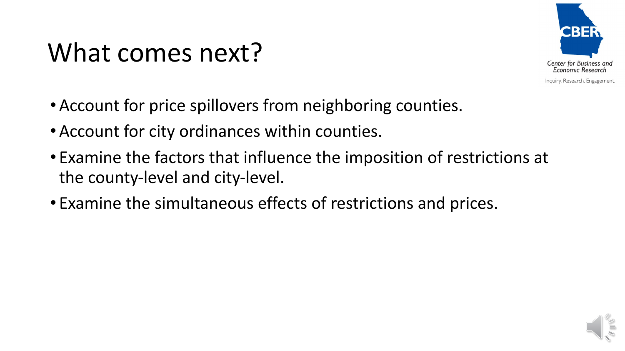# What comes next?



- •Account for price spillovers from neighboring counties.
- •Account for city ordinances within counties.
- Examine the factors that influence the imposition of restrictions at the county-level and city-level.
- Examine the simultaneous effects of restrictions and prices.